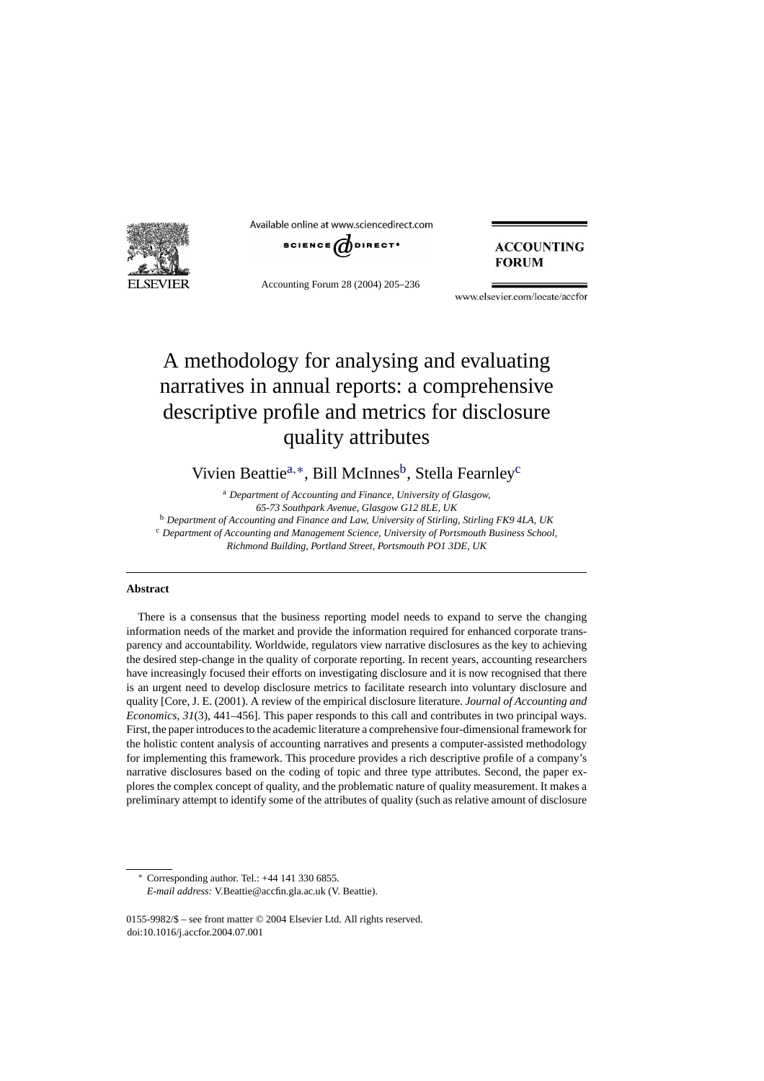

Available online at www.sciencedirect.com



Accounting Forum 28 (2004) 205–236

### **ACCOUNTING FORUM**

www.elsevier.com/locate/accfor

# A methodology for analysing and evaluating narratives in annual reports: a comprehensive descriptive profile and metrics for disclosure quality attributes

Vivien Beattie<sup>a,∗</sup>, Bill McInnes<sup>b</sup>, Stella Fearnley<sup>c</sup>

<sup>a</sup> *Department of Accounting and Finance, University of Glasgow,*

*65-73 Southpark Avenue, Glasgow G12 8LE, UK*

<sup>b</sup> *Department of Accounting and Finance and Law, University of Stirling, Stirling FK9 4LA, UK*

<sup>c</sup> Department of Accounting and Management Science, University of Portsmouth Business School,

*Richmond Building, Portland Street, Portsmouth PO1 3DE, UK*

#### **Abstract**

There is a consensus that the business reporting model needs to expand to serve the changing information needs of the market and provide the information required for enhanced corporate transparency and accountability. Worldwide, regulators view narrative disclosures as the key to achieving the desired step-change in the quality of corporate reporting. In recent years, accounting researchers have increasingly focused their efforts on investigating disclosure and it is now recognised that there is an urgent need to develop disclosure metrics to facilitate research into voluntary disclosure and quality [Core, J. E. (2001). A review of the empirical disclosure literature. *Journal of Accounting and Economics, 31*(3), 441–456]. This paper responds to this call and contributes in two principal ways. First, the paper introduces to the academic literature a comprehensive four-dimensional framework for the holistic content analysis of accounting narratives and presents a computer-assisted methodology for implementing this framework. This procedure provides a rich descriptive profile of a company's narrative disclosures based on the coding of topic and three type attributes. Second, the paper explores the complex concept of quality, and the problematic nature of quality measurement. It makes a preliminary attempt to identify some of the attributes of quality (such as relative amount of disclosure

∗ Corresponding author. Tel.: +44 141 330 6855. *E-mail address:* V.Beattie@accfin.gla.ac.uk (V. Beattie).

0155-9982/\$ – see front matter © 2004 Elsevier Ltd. All rights reserved. doi:10.1016/j.accfor.2004.07.001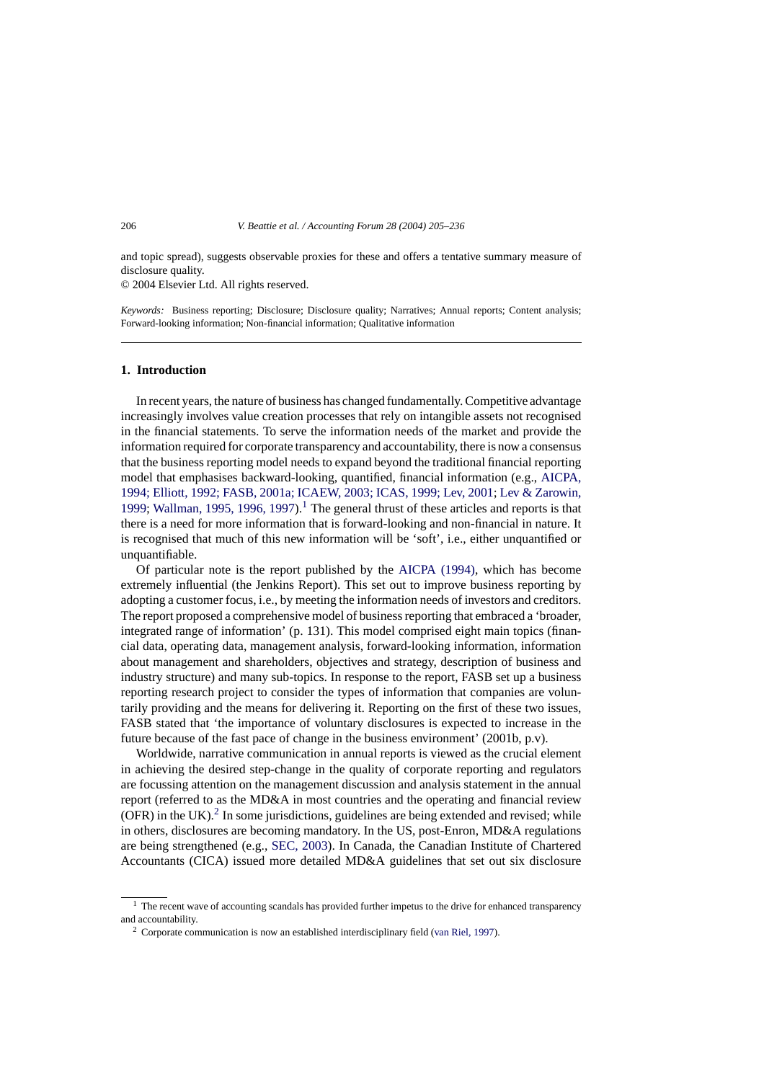and topic spread), suggests observable proxies for these and offers a tentative summary measure of disclosure quality.

© 2004 Elsevier Ltd. All rights reserved.

*Keywords:* Business reporting; Disclosure; Disclosure quality; Narratives; Annual reports; Content analysis; Forward-looking information; Non-financial information; Qualitative information

#### **1. Introduction**

In recent years, the nature of business has changed fundamentally. Competitive advantage increasingly involves value creation processes that rely on intangible assets not recognised in the financial statements. To serve the information needs of the market and provide the information required for corporate transparency and accountability, there is now a consensus that the business reporting model needs to expand beyond the traditional financial reporting model that emphasises backward-looking, quantified, financial information (e.g., [AICPA,](#page--1-0) [1994; Elliott, 1992; FASB, 2001a; ICAEW, 2003; ICAS, 1999; Lev, 2001;](#page--1-0) [Lev & Zarowin,](#page--1-0) 1999; [Wallman, 1995, 1996, 1997\).](#page--1-0)<sup>1</sup> The general thrust of these articles and reports is that there is a need for more information that is forward-looking and non-financial in nature. It is recognised that much of this new information will be 'soft', i.e., either unquantified or unquantifiable.

Of particular note is the report published by the [AICPA \(1994\),](#page--1-0) which has become extremely influential (the Jenkins Report). This set out to improve business reporting by adopting a customer focus, i.e., by meeting the information needs of investors and creditors. The report proposed a comprehensive model of business reporting that embraced a 'broader, integrated range of information' (p. 131). This model comprised eight main topics (financial data, operating data, management analysis, forward-looking information, information about management and shareholders, objectives and strategy, description of business and industry structure) and many sub-topics. In response to the report, FASB set up a business reporting research project to consider the types of information that companies are voluntarily providing and the means for delivering it. Reporting on the first of these two issues, FASB stated that 'the importance of voluntary disclosures is expected to increase in the future because of the fast pace of change in the business environment' (2001b, p.v).

Worldwide, narrative communication in annual reports is viewed as the crucial element in achieving the desired step-change in the quality of corporate reporting and regulators are focussing attention on the management discussion and analysis statement in the annual report (referred to as the MD&A in most countries and the operating and financial review  $(OFR)$  in the UK).<sup>2</sup> In some jurisdictions, guidelines are being extended and revised; while in others, disclosures are becoming mandatory. In the US, post-Enron, MD&A regulations are being strengthened (e.g., [SEC, 2003\).](#page--1-0) In Canada, the Canadian Institute of Chartered Accountants (CICA) issued more detailed MD&A guidelines that set out six disclosure

 $<sup>1</sup>$  The recent wave of accounting scandals has provided further impetus to the drive for enhanced transparency</sup> and accountability.

<sup>&</sup>lt;sup>2</sup> Corporate communication is now an established interdisciplinary field [\(van Riel, 1997\).](#page--1-0)